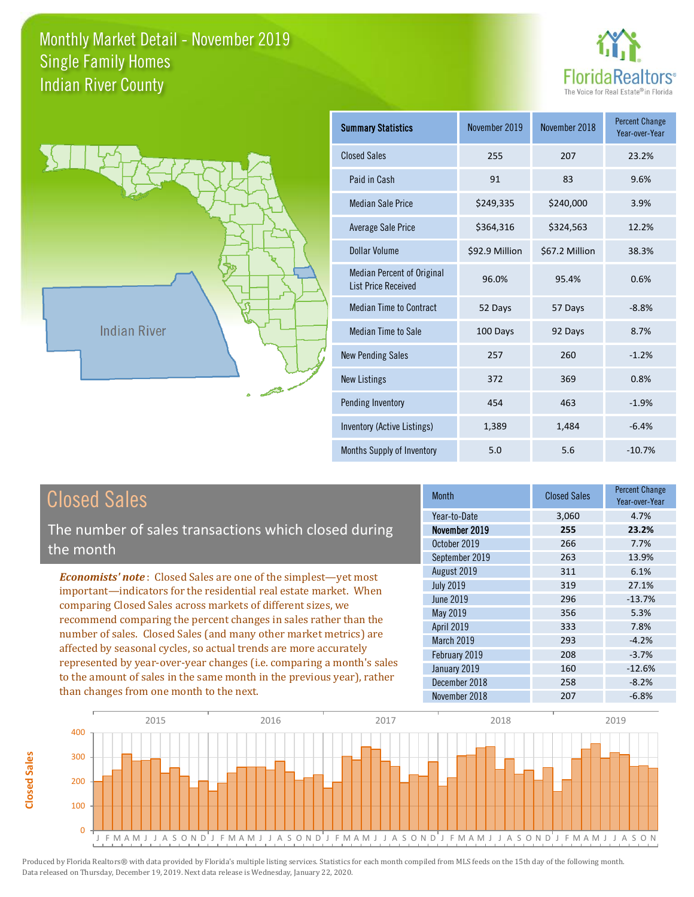



**Closed Sales**

**Closed Sales** 

| <b>Summary Statistics</b>                                       | November 2019  | November 2018  | <b>Percent Change</b><br>Year-over-Year |
|-----------------------------------------------------------------|----------------|----------------|-----------------------------------------|
| <b>Closed Sales</b>                                             | 255            | 207            | 23.2%                                   |
| Paid in Cash                                                    | 91             | 83             | 9.6%                                    |
| <b>Median Sale Price</b>                                        | \$249,335      | \$240,000      | 3.9%                                    |
| <b>Average Sale Price</b>                                       | \$364,316      | \$324,563      | 12.2%                                   |
| Dollar Volume                                                   | \$92.9 Million | \$67.2 Million | 38.3%                                   |
| <b>Median Percent of Original</b><br><b>List Price Received</b> | 96.0%          | 95.4%          | 0.6%                                    |
| <b>Median Time to Contract</b>                                  | 52 Days        | 57 Days        | $-8.8%$                                 |
| <b>Median Time to Sale</b>                                      | 100 Days       | 92 Days        | 8.7%                                    |
| <b>New Pending Sales</b>                                        | 257            | 260            | $-1.2%$                                 |
| <b>New Listings</b>                                             | 372            | 369            | 0.8%                                    |
| Pending Inventory                                               | 454            | 463            | $-1.9%$                                 |
| Inventory (Active Listings)                                     | 1,389          | 1,484          | $-6.4%$                                 |
| Months Supply of Inventory                                      | 5.0            | 5.6            | $-10.7%$                                |

| <b>Closed Sales</b>                                                                                                                                                                                                                                                                                                                                                                                                                                                                                                                                                                                                      | <b>Month</b>                                                                                                                                                   | <b>Closed Sales</b>                                                | <b>Percent Change</b><br>Year-over-Year                                                           |
|--------------------------------------------------------------------------------------------------------------------------------------------------------------------------------------------------------------------------------------------------------------------------------------------------------------------------------------------------------------------------------------------------------------------------------------------------------------------------------------------------------------------------------------------------------------------------------------------------------------------------|----------------------------------------------------------------------------------------------------------------------------------------------------------------|--------------------------------------------------------------------|---------------------------------------------------------------------------------------------------|
| The number of sales transactions which closed during<br>the month                                                                                                                                                                                                                                                                                                                                                                                                                                                                                                                                                        | Year-to-Date<br>November 2019<br>October 2019<br>September 2019                                                                                                | 3,060<br>255<br>266<br>263                                         | 4.7%<br>23.2%<br>7.7%<br>13.9%                                                                    |
| <b>Economists' note:</b> Closed Sales are one of the simplest—yet most<br>important—indicators for the residential real estate market. When<br>comparing Closed Sales across markets of different sizes, we<br>recommend comparing the percent changes in sales rather than the<br>number of sales. Closed Sales (and many other market metrics) are<br>affected by seasonal cycles, so actual trends are more accurately<br>represented by year-over-year changes (i.e. comparing a month's sales<br>to the amount of sales in the same month in the previous year), rather<br>than changes from one month to the next. | August 2019<br><b>July 2019</b><br>June 2019<br>May 2019<br><b>April 2019</b><br>March 2019<br>February 2019<br>January 2019<br>December 2018<br>November 2018 | 311<br>319<br>296<br>356<br>333<br>293<br>208<br>160<br>258<br>207 | 6.1%<br>27.1%<br>$-13.7%$<br>5.3%<br>7.8%<br>$-4.2%$<br>$-3.7%$<br>$-12.6%$<br>$-8.2%$<br>$-6.8%$ |

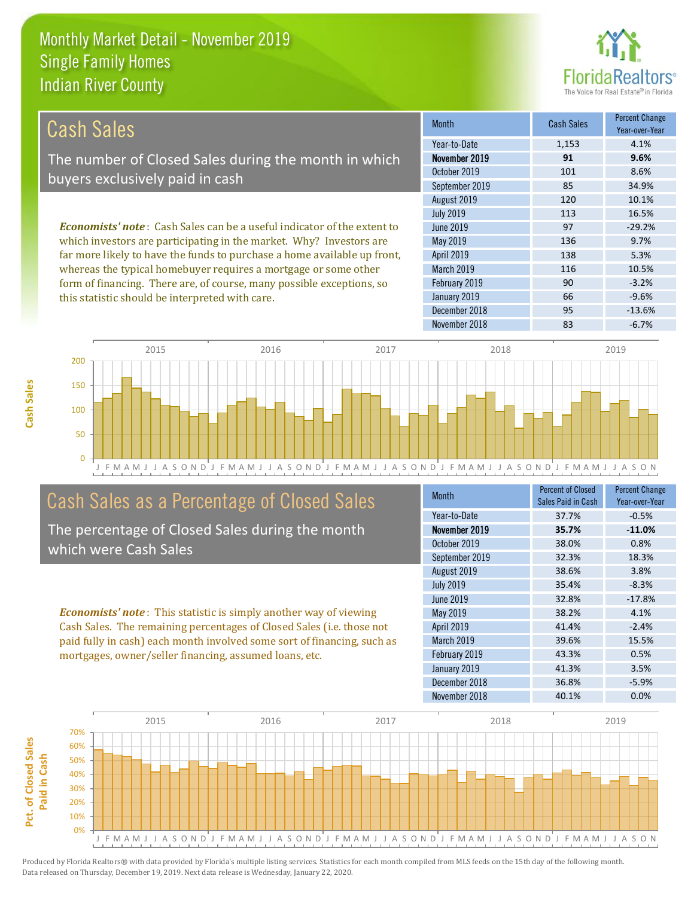this statistic should be interpreted with care.



66 -9.6%

| Cash Sales'                                                                     | <b>Month</b>      | <b>Cash Sales</b> | <b>Percent Change</b><br>Year-over-Year |
|---------------------------------------------------------------------------------|-------------------|-------------------|-----------------------------------------|
|                                                                                 | Year-to-Date      | 1,153             | 4.1%                                    |
| The number of Closed Sales during the month in which                            | November 2019     | 91                | 9.6%                                    |
| buyers exclusively paid in cash                                                 | October 2019      | 101               | 8.6%                                    |
|                                                                                 | September 2019    | 85                | 34.9%                                   |
|                                                                                 | August 2019       | 120               | 10.1%                                   |
|                                                                                 | <b>July 2019</b>  | 113               | 16.5%                                   |
| <b>Economists' note</b> : Cash Sales can be a useful indicator of the extent to | June 2019         | 97                | $-29.2%$                                |
| which investors are participating in the market. Why? Investors are             | May 2019          | 136               | 9.7%                                    |
| far more likely to have the funds to purchase a home available up front,        | <b>April 2019</b> | 138               | 5.3%                                    |
| whereas the typical homebuyer requires a mortgage or some other                 | March 2019        | 116               | 10.5%                                   |
| form of financing. There are, of course, many possible exceptions, so           | February 2019     | 90                | $-3.2%$                                 |

J F M A M J J A S O N D J F M A M J J A S O N D J F M A M J J A S O N D J F M A M J J A S O N D J F M A M J J A S O N 0 50 100 150 200 2015 2016 2016 2017 2018 2018 2019

## Cash Sales as a Percentage of Closed Sales

The percentage of Closed Sales during the month which were Cash Sales

*Economists' note* : This statistic is simply another way of viewing Cash Sales. The remaining percentages of Closed Sales (i.e. those not paid fully in cash) each month involved some sort of financing, such as mortgages, owner/seller financing, assumed loans, etc.

| <b>Month</b>      | <b>Percent of Closed</b><br>Sales Paid in Cash | <b>Percent Change</b><br>Year-over-Year |
|-------------------|------------------------------------------------|-----------------------------------------|
| Year-to-Date      | 37.7%                                          | $-0.5%$                                 |
| November 2019     | 35.7%                                          | $-11.0%$                                |
| October 2019      | 38.0%                                          | 0.8%                                    |
| September 2019    | 32.3%                                          | 18.3%                                   |
| August 2019       | 38.6%                                          | 3.8%                                    |
| <b>July 2019</b>  | 35.4%                                          | $-8.3%$                                 |
| June 2019         | 32.8%                                          | $-17.8%$                                |
| May 2019          | 38.2%                                          | 4.1%                                    |
| <b>April 2019</b> | 41.4%                                          | $-2.4%$                                 |
| March 2019        | 39.6%                                          | 15.5%                                   |
| February 2019     | 43.3%                                          | 0.5%                                    |
| January 2019      | 41.3%                                          | 3.5%                                    |
| December 2018     | 36.8%                                          | $-5.9%$                                 |
| November 2018     | 40.1%                                          | 0.0%                                    |

December 2018 **95** -13.6%

January 2019

November 2018 **83** -6.7%

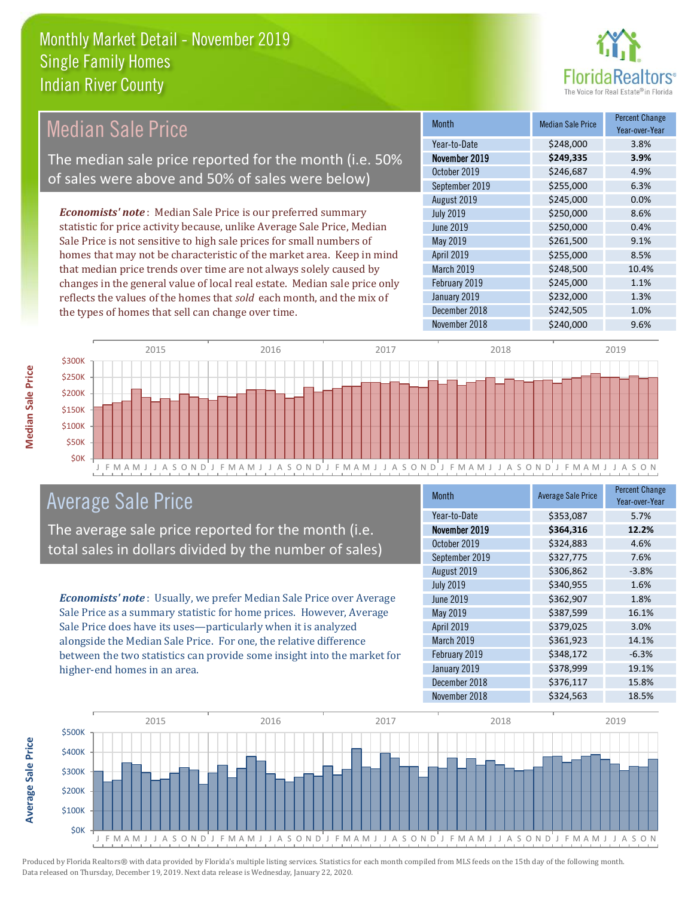

## Median Sale Price

The median sale price reported for the month (i.e. 50% of sales were above and 50% of sales were below)

*Economists' note* : Median Sale Price is our preferred summary statistic for price activity because, unlike Average Sale Price, Median Sale Price is not sensitive to high sale prices for small numbers of homes that may not be characteristic of the market area. Keep in mind that median price trends over time are not always solely caused by changes in the general value of local real estate. Median sale price only reflects the values of the homes that *sold* each month, and the mix of the types of homes that sell can change over time.

| Month            | <b>Median Sale Price</b> | <b>Percent Change</b><br>Year-over-Year |
|------------------|--------------------------|-----------------------------------------|
| Year-to-Date     | \$248,000                | 3.8%                                    |
| November 2019    | \$249,335                | 3.9%                                    |
| October 2019     | \$246,687                | 4.9%                                    |
| September 2019   | \$255,000                | 6.3%                                    |
| August 2019      | \$245,000                | 0.0%                                    |
| <b>July 2019</b> | \$250,000                | 8.6%                                    |
| <b>June 2019</b> | \$250,000                | 0.4%                                    |
| May 2019         | \$261,500                | 9.1%                                    |
| April 2019       | \$255,000                | 8.5%                                    |
| March 2019       | \$248,500                | 10.4%                                   |
| February 2019    | \$245,000                | 1.1%                                    |
| January 2019     | \$232,000                | 1.3%                                    |
| December 2018    | \$242,505                | 1.0%                                    |
| November 2018    | \$240,000                | 9.6%                                    |



#### Average Sale Price

The average sale price reported for the month (i.e. total sales in dollars divided by the number of sales)

*Economists' note* : Usually, we prefer Median Sale Price over Average Sale Price as a summary statistic for home prices. However, Average Sale Price does have its uses—particularly when it is analyzed alongside the Median Sale Price. For one, the relative difference between the two statistics can provide some insight into the market for higher-end homes in an area.

| <b>Month</b>     | <b>Average Sale Price</b> | <b>Percent Change</b><br>Year-over-Year |
|------------------|---------------------------|-----------------------------------------|
| Year-to-Date     | \$353,087                 | 5.7%                                    |
| November 2019    | \$364,316                 | 12.2%                                   |
| October 2019     | \$324,883                 | 4.6%                                    |
| September 2019   | \$327,775                 | 7.6%                                    |
| August 2019      | \$306,862                 | $-3.8%$                                 |
| <b>July 2019</b> | \$340,955                 | 1.6%                                    |
| <b>June 2019</b> | \$362,907                 | 1.8%                                    |
| May 2019         | \$387,599                 | 16.1%                                   |
| April 2019       | \$379,025                 | 3.0%                                    |
| March 2019       | \$361,923                 | 14.1%                                   |
| February 2019    | \$348,172                 | $-6.3%$                                 |
| January 2019     | \$378,999                 | 19.1%                                   |
| December 2018    | \$376,117                 | 15.8%                                   |
| November 2018    | \$324,563                 | 18.5%                                   |



**Median Sale Price** 

**Average Sale Price**

**Average Sale Price**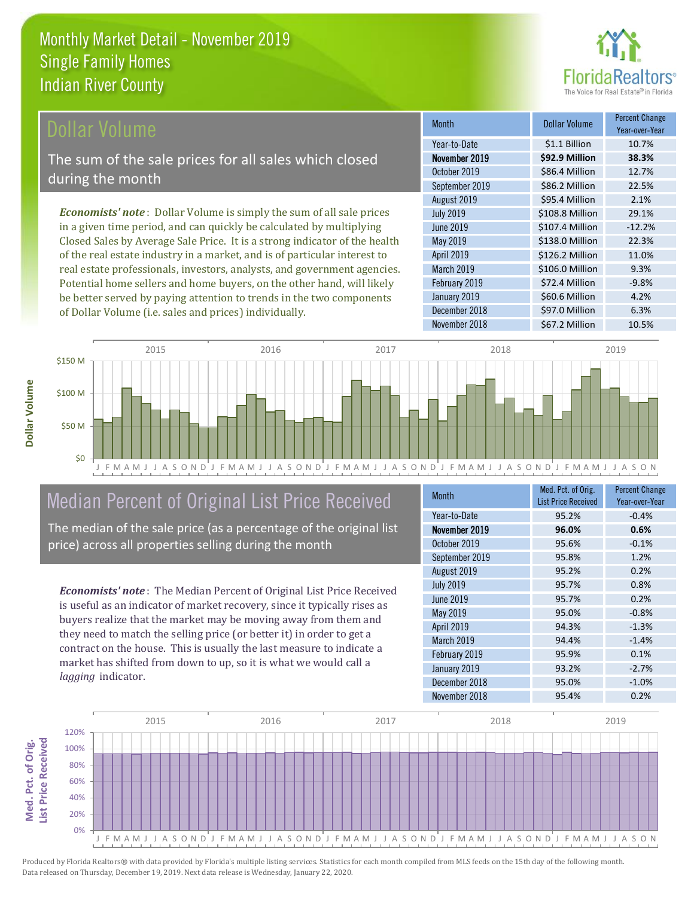

#### **Ollar Volume**

The sum of the sale prices for all sales which closed during the month

*Economists' note* : Dollar Volume is simply the sum of all sale prices in a given time period, and can quickly be calculated by multiplying Closed Sales by Average Sale Price. It is a strong indicator of the health of the real estate industry in a market, and is of particular interest to real estate professionals, investors, analysts, and government agencies. Potential home sellers and home buyers, on the other hand, will likely be better served by paying attention to trends in the two components of Dollar Volume (i.e. sales and prices) individually.

| Month            | Dollar Volume   | <b>Percent Change</b><br>Year-over-Year |
|------------------|-----------------|-----------------------------------------|
| Year-to-Date     | \$1.1 Billion   | 10.7%                                   |
| November 2019    | \$92.9 Million  | 38.3%                                   |
| October 2019     | \$86.4 Million  | 12.7%                                   |
| September 2019   | \$86.2 Million  | 22.5%                                   |
| August 2019      | \$95.4 Million  | 2.1%                                    |
| <b>July 2019</b> | \$108.8 Million | 29.1%                                   |
| June 2019        | \$107.4 Million | $-12.2%$                                |
| May 2019         | \$138.0 Million | 22.3%                                   |
| April 2019       | \$126.2 Million | 11.0%                                   |
| March 2019       | \$106.0 Million | 9.3%                                    |
| February 2019    | \$72.4 Million  | $-9.8%$                                 |
| January 2019     | \$60.6 Million  | 4.2%                                    |
| December 2018    | \$97.0 Million  | 6.3%                                    |
| November 2018    | \$67.2 Million  | 10.5%                                   |



# Median Percent of Original List Price Received

The median of the sale price (as a percentage of the original list price) across all properties selling during the month

*Economists' note* : The Median Percent of Original List Price Received is useful as an indicator of market recovery, since it typically rises as buyers realize that the market may be moving away from them and they need to match the selling price (or better it) in order to get a contract on the house. This is usually the last measure to indicate a market has shifted from down to up, so it is what we would call a *lagging* indicator.

| <b>Month</b>     | Med. Pct. of Orig.<br><b>List Price Received</b> | <b>Percent Change</b><br>Year-over-Year |
|------------------|--------------------------------------------------|-----------------------------------------|
| Year-to-Date     | 95.2%                                            | $-0.4%$                                 |
| November 2019    | 96.0%                                            | 0.6%                                    |
| October 2019     | 95.6%                                            | $-0.1%$                                 |
| September 2019   | 95.8%                                            | 1.2%                                    |
| August 2019      | 95.2%                                            | 0.2%                                    |
| <b>July 2019</b> | 95.7%                                            | 0.8%                                    |
| June 2019        | 95.7%                                            | 0.2%                                    |
| May 2019         | 95.0%                                            | $-0.8%$                                 |
| April 2019       | 94.3%                                            | $-1.3%$                                 |
| March 2019       | 94.4%                                            | $-1.4%$                                 |
| February 2019    | 95.9%                                            | 0.1%                                    |
| January 2019     | 93.2%                                            | $-2.7%$                                 |
| December 2018    | 95.0%                                            | $-1.0%$                                 |
| November 2018    | 95.4%                                            | 0.2%                                    |

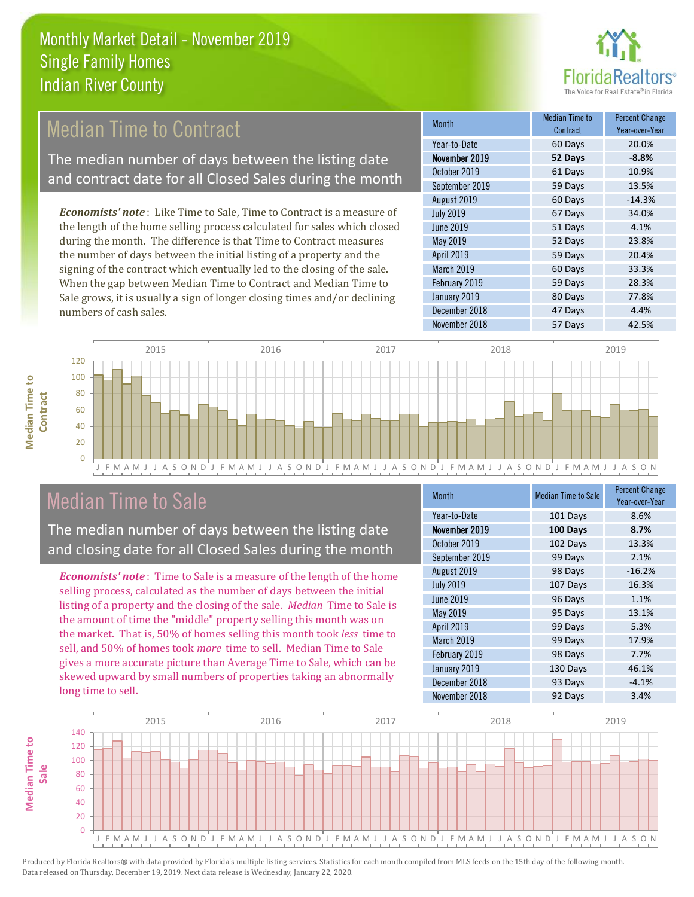

# **Median Time to Contract**

The median number of days between the listing date and contract date for all Closed Sales during the month

*Economists' note* : Like Time to Sale, Time to Contract is a measure of the length of the home selling process calculated for sales which closed during the month. The difference is that Time to Contract measures the number of days between the initial listing of a property and the signing of the contract which eventually led to the closing of the sale. When the gap between Median Time to Contract and Median Time to Sale grows, it is usually a sign of longer closing times and/or declining numbers of cash sales.

| <b>Month</b>     | Median Time to<br>Contract | <b>Percent Change</b><br>Year-over-Year |
|------------------|----------------------------|-----------------------------------------|
| Year-to-Date     | 60 Days                    | 20.0%                                   |
| November 2019    | 52 Days                    | $-8.8%$                                 |
| October 2019     | 61 Days                    | 10.9%                                   |
| September 2019   | 59 Days                    | 13.5%                                   |
| August 2019      | 60 Days                    | $-14.3%$                                |
| <b>July 2019</b> | 67 Days                    | 34.0%                                   |
| <b>June 2019</b> | 51 Days                    | 4.1%                                    |
| May 2019         | 52 Days                    | 23.8%                                   |
| April 2019       | 59 Days                    | 20.4%                                   |
| March 2019       | 60 Days                    | 33.3%                                   |
| February 2019    | 59 Days                    | 28.3%                                   |
| January 2019     | 80 Days                    | 77.8%                                   |
| December 2018    | 47 Days                    | 4.4%                                    |
| November 2018    | 57 Days                    | 42.5%                                   |



### Median Time to Sale

**Median Time to** 

**Median Time to** 

The median number of days between the listing date and closing date for all Closed Sales during the month

*Economists' note* : Time to Sale is a measure of the length of the home selling process, calculated as the number of days between the initial listing of a property and the closing of the sale. *Median* Time to Sale is the amount of time the "middle" property selling this month was on the market. That is, 50% of homes selling this month took *less* time to sell, and 50% of homes took *more* time to sell. Median Time to Sale gives a more accurate picture than Average Time to Sale, which can be skewed upward by small numbers of properties taking an abnormally long time to sell.

| <b>Month</b>     | <b>Median Time to Sale</b> | <b>Percent Change</b><br>Year-over-Year |
|------------------|----------------------------|-----------------------------------------|
| Year-to-Date     | 101 Days                   | 8.6%                                    |
| November 2019    | 100 Days                   | 8.7%                                    |
| October 2019     | 102 Days                   | 13.3%                                   |
| September 2019   | 99 Days                    | 2.1%                                    |
| August 2019      | 98 Days                    | $-16.2%$                                |
| <b>July 2019</b> | 107 Days                   | 16.3%                                   |
| <b>June 2019</b> | 96 Days                    | 1.1%                                    |
| May 2019         | 95 Days                    | 13.1%                                   |
| April 2019       | 99 Days                    | 5.3%                                    |
| March 2019       | 99 Days                    | 17.9%                                   |
| February 2019    | 98 Days                    | 7.7%                                    |
| January 2019     | 130 Days                   | 46.1%                                   |
| December 2018    | 93 Days                    | $-4.1%$                                 |
| November 2018    | 92 Days                    | 3.4%                                    |

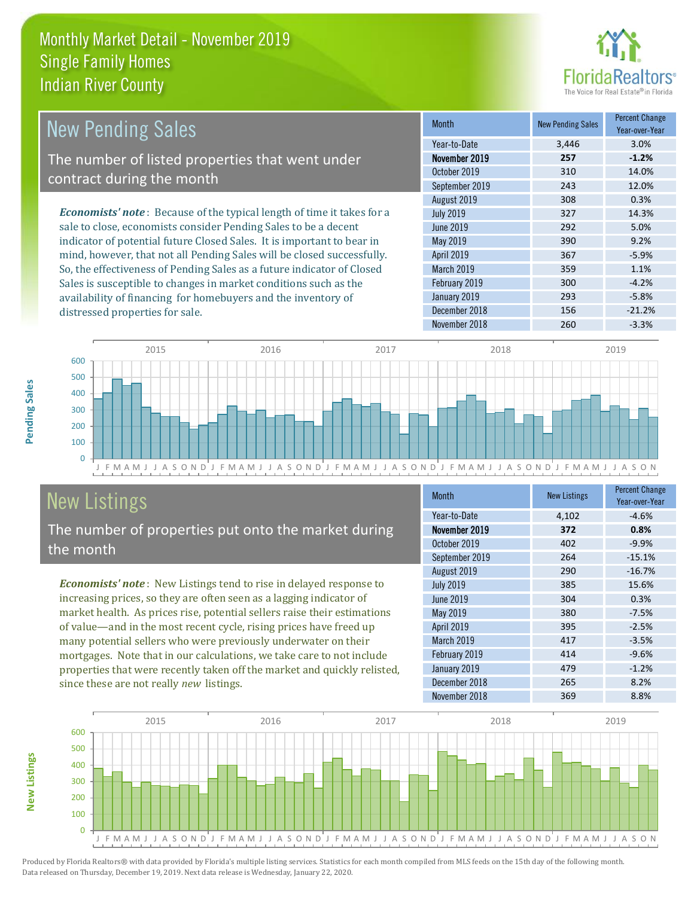

| New Pending Sales                                                             | <b>Month</b>      | <b>New Pending Sales</b> | <b>Percent Change</b><br>Year-over-Year |
|-------------------------------------------------------------------------------|-------------------|--------------------------|-----------------------------------------|
|                                                                               | Year-to-Date      | 3,446                    | 3.0%                                    |
| The number of listed properties that went under                               | November 2019     | 257                      | $-1.2%$                                 |
| contract during the month                                                     | October 2019      | 310                      | 14.0%                                   |
|                                                                               | September 2019    | 243                      | 12.0%                                   |
|                                                                               | August 2019       | 308                      | 0.3%                                    |
| <b>Economists' note:</b> Because of the typical length of time it takes for a | <b>July 2019</b>  | 327                      | 14.3%                                   |
| sale to close, economists consider Pending Sales to be a decent               | June 2019         | 292                      | 5.0%                                    |
| indicator of potential future Closed Sales. It is important to bear in        | May 2019          | 390                      | 9.2%                                    |
| mind, however, that not all Pending Sales will be closed successfully.        | <b>April 2019</b> | 367                      | $-5.9%$                                 |
| So, the effectiveness of Pending Sales as a future indicator of Closed        | March 2019        | 359                      | 1.1%                                    |
| Sales is susceptible to changes in market conditions such as the              | February 2019     | 300                      | $-4.2%$                                 |



# New Listings

distressed properties for sale.

The number of properties put onto the market during the month

availability of financing for homebuyers and the inventory of

*Economists' note* : New Listings tend to rise in delayed response to increasing prices, so they are often seen as a lagging indicator of market health. As prices rise, potential sellers raise their estimations of value—and in the most recent cycle, rising prices have freed up many potential sellers who were previously underwater on their mortgages. Note that in our calculations, we take care to not include properties that were recently taken off the market and quickly relisted, since these are not really *new* listings.

| <b>Month</b>     | <b>New Listings</b> | <b>Percent Change</b><br>Year-over-Year |
|------------------|---------------------|-----------------------------------------|
| Year-to-Date     | 4,102               | $-4.6%$                                 |
| November 2019    | 372                 | 0.8%                                    |
| October 2019     | 402                 | $-9.9%$                                 |
| September 2019   | 264                 | $-15.1%$                                |
| August 2019      | 290                 | $-16.7%$                                |
| <b>July 2019</b> | 385                 | 15.6%                                   |
| June 2019        | 304                 | 0.3%                                    |
| May 2019         | 380                 | $-7.5%$                                 |
| April 2019       | 395                 | $-2.5%$                                 |
| March 2019       | 417                 | $-3.5%$                                 |
| February 2019    | 414                 | $-9.6%$                                 |
| January 2019     | 479                 | $-1.2%$                                 |
| December 2018    | 265                 | 8.2%                                    |
| November 2018    | 369                 | 8.8%                                    |

January 2019 **293** -5.8% December 2018 156 -21.2%



**Pending Sales**

Pending Sales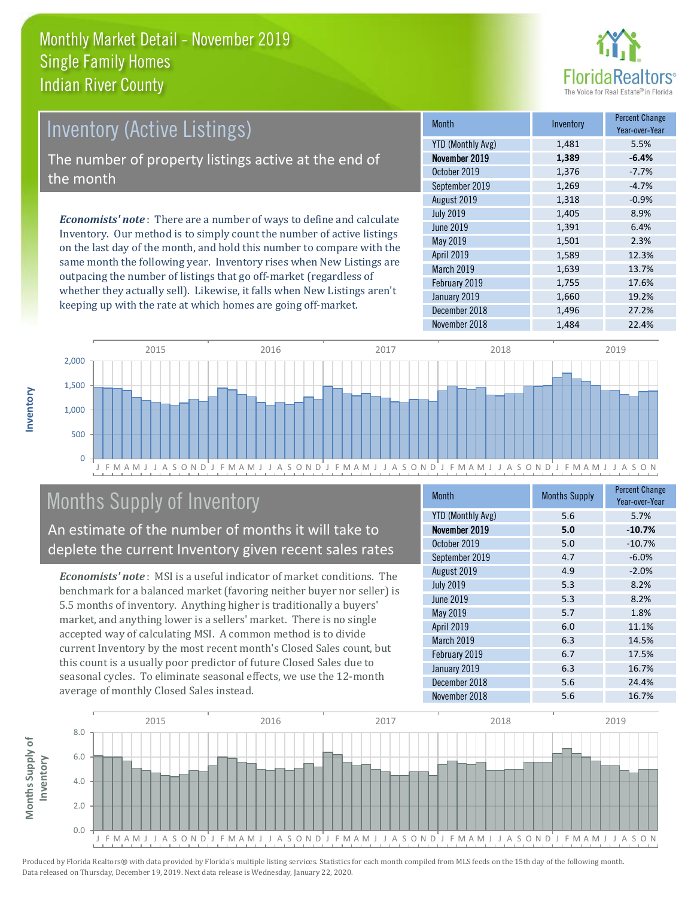

# Inventory (Active Listings) The number of property listings active at the end of the month

*Economists' note* : There are a number of ways to define and calculate Inventory. Our method is to simply count the number of active listings on the last day of the month, and hold this number to compare with the same month the following year. Inventory rises when New Listings are outpacing the number of listings that go off-market (regardless of whether they actually sell). Likewise, it falls when New Listings aren't keeping up with the rate at which homes are going off-market.

| <b>Month</b>             | Inventory | <b>Percent Change</b><br>Year-over-Year |
|--------------------------|-----------|-----------------------------------------|
| <b>YTD (Monthly Avg)</b> | 1,481     | 5.5%                                    |
| November 2019            | 1,389     | $-6.4%$                                 |
| October 2019             | 1,376     | $-7.7%$                                 |
| September 2019           | 1,269     | $-4.7%$                                 |
| August 2019              | 1,318     | $-0.9%$                                 |
| <b>July 2019</b>         | 1,405     | 8.9%                                    |
| June 2019                | 1,391     | 6.4%                                    |
| May 2019                 | 1,501     | 2.3%                                    |
| April 2019               | 1,589     | 12.3%                                   |
| <b>March 2019</b>        | 1,639     | 13.7%                                   |
| February 2019            | 1,755     | 17.6%                                   |
| January 2019             | 1,660     | 19.2%                                   |
| December 2018            | 1,496     | 27.2%                                   |
| November 2018            | 1,484     | 22.4%                                   |



# Months Supply of Inventory

An estimate of the number of months it will take to deplete the current Inventory given recent sales rates

*Economists' note* : MSI is a useful indicator of market conditions. The benchmark for a balanced market (favoring neither buyer nor seller) is 5.5 months of inventory. Anything higher is traditionally a buyers' market, and anything lower is a sellers' market. There is no single accepted way of calculating MSI. A common method is to divide current Inventory by the most recent month's Closed Sales count, but this count is a usually poor predictor of future Closed Sales due to seasonal cycles. To eliminate seasonal effects, we use the 12-month average of monthly Closed Sales instead.

| <b>Month</b>             | <b>Months Supply</b> | <b>Percent Change</b><br>Year-over-Year |
|--------------------------|----------------------|-----------------------------------------|
| <b>YTD (Monthly Avg)</b> | 5.6                  | 5.7%                                    |
| November 2019            | 5.0                  | $-10.7%$                                |
| October 2019             | 5.0                  | $-10.7%$                                |
| September 2019           | 4.7                  | $-6.0%$                                 |
| August 2019              | 4.9                  | $-2.0%$                                 |
| <b>July 2019</b>         | 5.3                  | 8.2%                                    |
| <b>June 2019</b>         | 5.3                  | 8.2%                                    |
| May 2019                 | 5.7                  | 1.8%                                    |
| April 2019               | 6.0                  | 11.1%                                   |
| March 2019               | 6.3                  | 14.5%                                   |
| February 2019            | 6.7                  | 17.5%                                   |
| January 2019             | 6.3                  | 16.7%                                   |
| December 2018            | 5.6                  | 24.4%                                   |
| November 2018            | 5.6                  | 16.7%                                   |

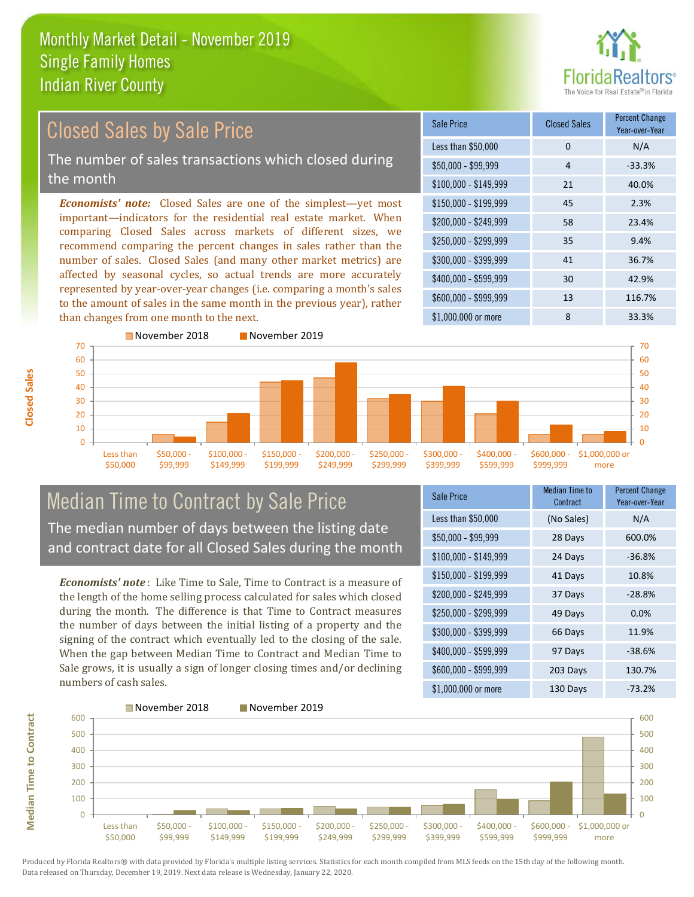

#### \$100,000 - \$149,999 21 40.0% Sale Price Closed Sales Percent Change Year-over-Year Less than \$50,000 0 0 N/A  $$50,000 - $99,999$  4 -33.3% \$150,000 - \$199,999 45 2.3% \$200,000 - \$249,999 58 23.4% \$400,000 - \$599,999 30 42.9% \$600,000 - \$999,999 13 116.7% *Economists' note:* Closed Sales are one of the simplest—yet most important—indicators for the residential real estate market. When comparing Closed Sales across markets of different sizes, we recommend comparing the percent changes in sales rather than the number of sales. Closed Sales (and many other market metrics) are affected by seasonal cycles, so actual trends are more accurately represented by year-over-year changes (i.e. comparing a month's sales to the amount of sales in the same month in the previous year), rather than changes from one month to the next. \$1,000,000 or more 6 33.3% \$250,000 - \$299,999 35 9.4% \$300,000 - \$399,999 41 36.7% November 2018 November 2019 Closed Sales by Sale Price The number of sales transactions which closed during the month



#### Median Time to Contract by Sale Price The median number of days between the listing date and contract date for all Closed Sales during the month

*Economists' note* : Like Time to Sale, Time to Contract is a measure of the length of the home selling process calculated for sales which closed during the month. The difference is that Time to Contract measures the number of days between the initial listing of a property and the signing of the contract which eventually led to the closing of the sale. When the gap between Median Time to Contract and Median Time to Sale grows, it is usually a sign of longer closing times and/or declining numbers of cash sales.

| <b>Sale Price</b>     | <b>Median Time to</b><br>Contract | <b>Percent Change</b><br>Year-over-Year |
|-----------------------|-----------------------------------|-----------------------------------------|
| Less than \$50,000    | (No Sales)                        | N/A                                     |
| $$50,000 - $99,999$   | 28 Days                           | 600.0%                                  |
| $$100,000 - $149,999$ | 24 Days                           | $-36.8%$                                |
| $$150,000 - $199,999$ | 41 Days                           | 10.8%                                   |
| \$200,000 - \$249,999 | 37 Days                           | $-28.8%$                                |
| \$250,000 - \$299,999 | 49 Days                           | 0.0%                                    |
| \$300,000 - \$399,999 | 66 Days                           | 11.9%                                   |
| \$400,000 - \$599,999 | 97 Days                           | $-38.6%$                                |
| \$600,000 - \$999,999 | 203 Days                          | 130.7%                                  |
| \$1,000,000 or more   | 130 Days                          | $-73.2%$                                |



**Closed Sales**

**Median Time to Contract Median Time to Contract**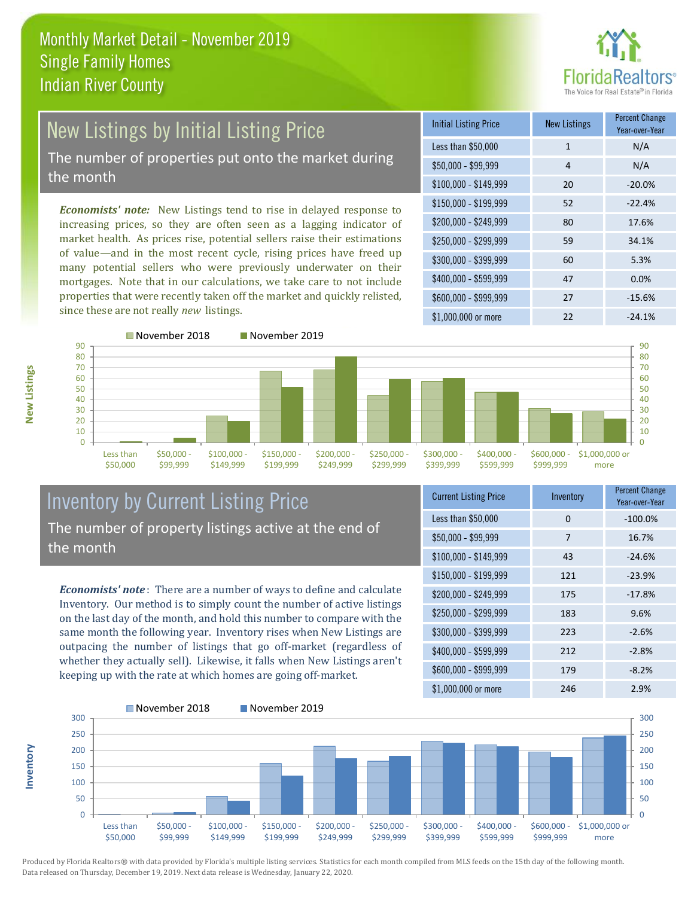

# New Listings by Initial Listing Price The number of properties put onto the market during

the month

*Economists' note:* New Listings tend to rise in delayed response to increasing prices, so they are often seen as a lagging indicator of market health. As prices rise, potential sellers raise their estimations of value—and in the most recent cycle, rising prices have freed up many potential sellers who were previously underwater on their mortgages. Note that in our calculations, we take care to not include properties that were recently taken off the market and quickly relisted, since these are not really *new* listings.

■November 2018 November 2019

| <b>Initial Listing Price</b> | <b>New Listings</b> | <b>Percent Change</b><br>Year-over-Year |
|------------------------------|---------------------|-----------------------------------------|
| Less than \$50,000           | $\mathbf{1}$        | N/A                                     |
| $$50,000 - $99,999$          | 4                   | N/A                                     |
| $$100,000 - $149,999$        | 20                  | $-20.0%$                                |
| $$150,000 - $199,999$        | 52                  | $-22.4%$                                |
| \$200,000 - \$249,999        | 80                  | 17.6%                                   |
| $$250,000 - $299,999$        | 59                  | 34.1%                                   |
| \$300,000 - \$399,999        | 60                  | 5.3%                                    |
| \$400,000 - \$599,999        | 47                  | 0.0%                                    |
| \$600,000 - \$999,999        | 27                  | $-15.6%$                                |
| $$1,000,000$ or more         | 22                  | $-24.1%$                                |





#### Inventory by Current Listing Price The number of property listings active at the end of the month

*Economists' note* : There are a number of ways to define and calculate Inventory. Our method is to simply count the number of active listings on the last day of the month, and hold this number to compare with the same month the following year. Inventory rises when New Listings are outpacing the number of listings that go off-market (regardless of whether they actually sell). Likewise, it falls when New Listings aren't keeping up with the rate at which homes are going off-market.

| <b>Current Listing Price</b> | Inventory | Percent Change<br>Year-over-Year |
|------------------------------|-----------|----------------------------------|
| Less than \$50,000           | 0         | $-100.0%$                        |
| $$50,000 - $99,999$          | 7         | 16.7%                            |
| $$100,000 - $149,999$        | 43        | $-24.6%$                         |
| $$150,000 - $199,999$        | 121       | $-23.9%$                         |
| \$200,000 - \$249,999        | 175       | $-17.8%$                         |
| \$250,000 - \$299,999        | 183       | 9.6%                             |
| \$300,000 - \$399,999        | 223       | $-2.6%$                          |
| \$400,000 - \$599,999        | 212       | $-2.8%$                          |
| \$600,000 - \$999,999        | 179       | $-8.2%$                          |
| \$1,000,000 or more          | 246       | 2.9%                             |



Produced by Florida Realtors® with data provided by Florida's multiple listing services. Statistics for each month compiled from MLS feeds on the 15th day of the following month. Data released on Thursday, December 19, 2019. Next data release is Wednesday, January 22, 2020.

**Inventory**